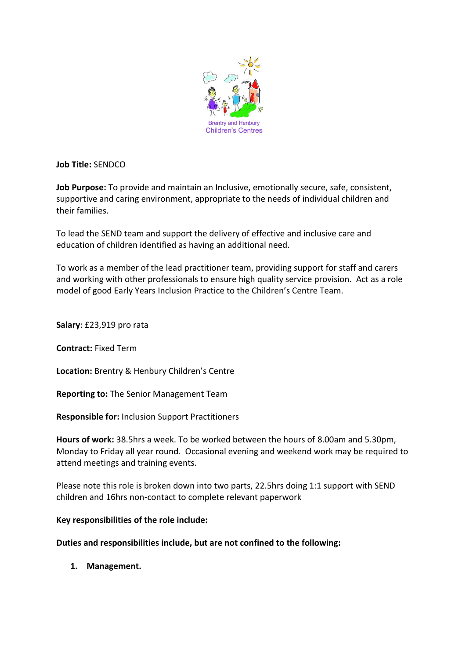

**Job Title:** SENDCO

**Job Purpose:** To provide and maintain an Inclusive, emotionally secure, safe, consistent, supportive and caring environment, appropriate to the needs of individual children and their families.

To lead the SEND team and support the delivery of effective and inclusive care and education of children identified as having an additional need.

To work as a member of the lead practitioner team, providing support for staff and carers and working with other professionals to ensure high quality service provision. Act as a role model of good Early Years Inclusion Practice to the Children's Centre Team.

**Salary**: £23,919 pro rata

**Contract:** Fixed Term

**Location:** Brentry & Henbury Children's Centre

**Reporting to:** The Senior Management Team

**Responsible for:** Inclusion Support Practitioners

**Hours of work:** 38.5hrs a week. To be worked between the hours of 8.00am and 5.30pm, Monday to Friday all year round. Occasional evening and weekend work may be required to attend meetings and training events.

Please note this role is broken down into two parts, 22.5hrs doing 1:1 support with SEND children and 16hrs non-contact to complete relevant paperwork

#### **Key responsibilities of the role include:**

#### **Duties and responsibilities include, but are not confined to the following:**

**1. Management.**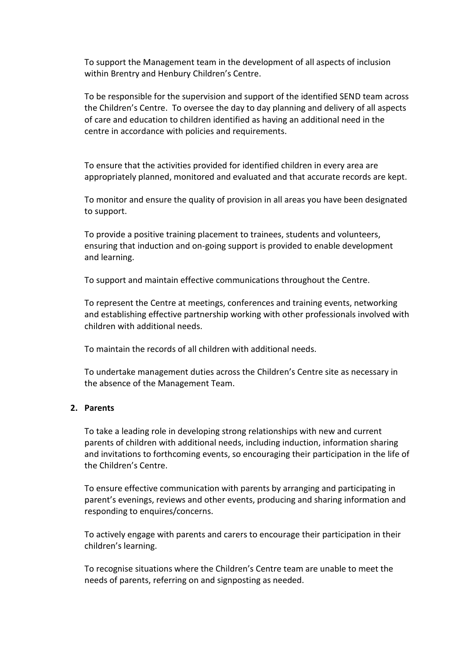To support the Management team in the development of all aspects of inclusion within Brentry and Henbury Children's Centre.

To be responsible for the supervision and support of the identified SEND team across the Children's Centre. To oversee the day to day planning and delivery of all aspects of care and education to children identified as having an additional need in the centre in accordance with policies and requirements.

To ensure that the activities provided for identified children in every area are appropriately planned, monitored and evaluated and that accurate records are kept.

To monitor and ensure the quality of provision in all areas you have been designated to support.

To provide a positive training placement to trainees, students and volunteers, ensuring that induction and on-going support is provided to enable development and learning.

To support and maintain effective communications throughout the Centre.

To represent the Centre at meetings, conferences and training events, networking and establishing effective partnership working with other professionals involved with children with additional needs.

To maintain the records of all children with additional needs.

To undertake management duties across the Children's Centre site as necessary in the absence of the Management Team.

#### **2. Parents**

To take a leading role in developing strong relationships with new and current parents of children with additional needs, including induction, information sharing and invitations to forthcoming events, so encouraging their participation in the life of the Children's Centre.

To ensure effective communication with parents by arranging and participating in parent's evenings, reviews and other events, producing and sharing information and responding to enquires/concerns.

To actively engage with parents and carers to encourage their participation in their children's learning.

To recognise situations where the Children's Centre team are unable to meet the needs of parents, referring on and signposting as needed.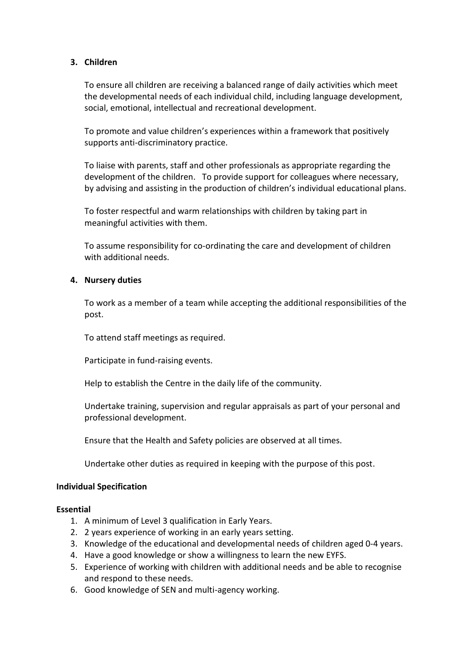### **3. Children**

To ensure all children are receiving a balanced range of daily activities which meet the developmental needs of each individual child, including language development, social, emotional, intellectual and recreational development.

To promote and value children's experiences within a framework that positively supports anti-discriminatory practice.

To liaise with parents, staff and other professionals as appropriate regarding the development of the children. To provide support for colleagues where necessary, by advising and assisting in the production of children's individual educational plans.

To foster respectful and warm relationships with children by taking part in meaningful activities with them.

To assume responsibility for co-ordinating the care and development of children with additional needs.

#### **4. Nursery duties**

To work as a member of a team while accepting the additional responsibilities of the post.

To attend staff meetings as required.

Participate in fund-raising events.

Help to establish the Centre in the daily life of the community.

Undertake training, supervision and regular appraisals as part of your personal and professional development.

Ensure that the Health and Safety policies are observed at all times.

Undertake other duties as required in keeping with the purpose of this post.

#### **Individual Specification**

#### **Essential**

- 1. A minimum of Level 3 qualification in Early Years.
- 2. 2 years experience of working in an early years setting.
- 3. Knowledge of the educational and developmental needs of children aged 0-4 years.
- 4. Have a good knowledge or show a willingness to learn the new EYFS.
- 5. Experience of working with children with additional needs and be able to recognise and respond to these needs.
- 6. Good knowledge of SEN and multi-agency working.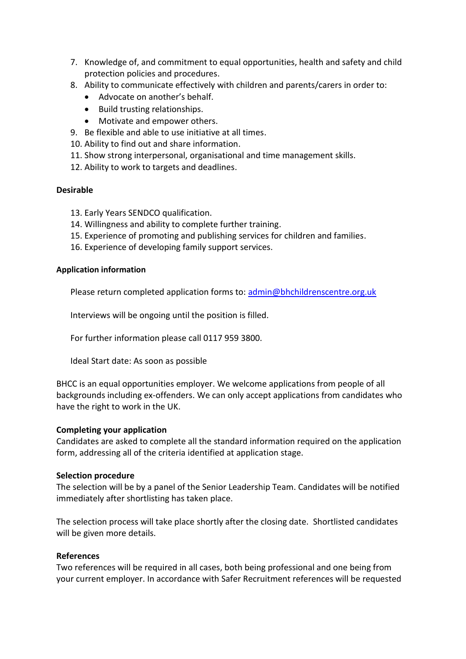- 7. Knowledge of, and commitment to equal opportunities, health and safety and child protection policies and procedures.
- 8. Ability to communicate effectively with children and parents/carers in order to:
	- Advocate on another's behalf.
	- Build trusting relationships.
	- Motivate and empower others.
- 9. Be flexible and able to use initiative at all times.
- 10. Ability to find out and share information.
- 11. Show strong interpersonal, organisational and time management skills.
- 12. Ability to work to targets and deadlines.

# **Desirable**

- 13. Early Years SENDCO qualification.
- 14. Willingness and ability to complete further training.
- 15. Experience of promoting and publishing services for children and families.
- 16. Experience of developing family support services.

### **Application information**

Please return completed application forms to: [admin@bhchildrenscentre.org.uk](mailto:admin@bhchildrenscentre.org.uk)

Interviews will be ongoing until the position is filled.

For further information please call 0117 959 3800.

Ideal Start date: As soon as possible

BHCC is an equal opportunities employer. We welcome applications from people of all backgrounds including ex-offenders. We can only accept applications from candidates who have the right to work in the UK.

# **Completing your application**

Candidates are asked to complete all the standard information required on the application form, addressing all of the criteria identified at application stage.

#### **Selection procedure**

The selection will be by a panel of the Senior Leadership Team. Candidates will be notified immediately after shortlisting has taken place.

The selection process will take place shortly after the closing date. Shortlisted candidates will be given more details.

# **References**

Two references will be required in all cases, both being professional and one being from your current employer. In accordance with Safer Recruitment references will be requested